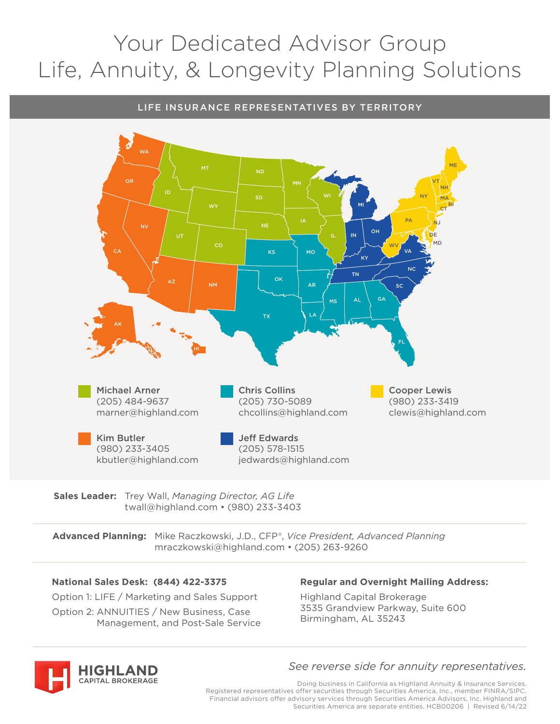# Your Dedicated Advisor Group Life, Annuity, & Longevity Planning Solutions

## LIFE INSURANCE REPRESENTATIVES BY TERRITORY



**Sales Leader:** Trey Wall, *Managing Director, AG Life* twall@highland.com • (980) 233-3403

**Advanced Planning:** Mike Raczkowski, J.D., CFP®, *Vice President, Advanced Planning* mraczkowski@highland.com • (205) 263-9260

## **National Sales Desk: (844) 422-3375**

Option 1: LIFE / Marketing and Sales Support Option 2: ANNUITIES / New Business, Case

## Management, and Post-Sale Service

## **Regular and Overnight Mailing Address:**

Highland Capital Brokerage 3535 Grandview Parkway, Suite 600 Birmingham, AL 35243



## *See reverse side for annuity representatives.*

Doing business in California as Highland Annuity & Insurance Services. Registered representatives offer securities through Securities America, Inc., member FINRA/SIPC. Financial advisors offer advisory services through Securities America Advisors, Inc. Highland and Securities America are separate entities. HCB00206 | Revised 6/14/22